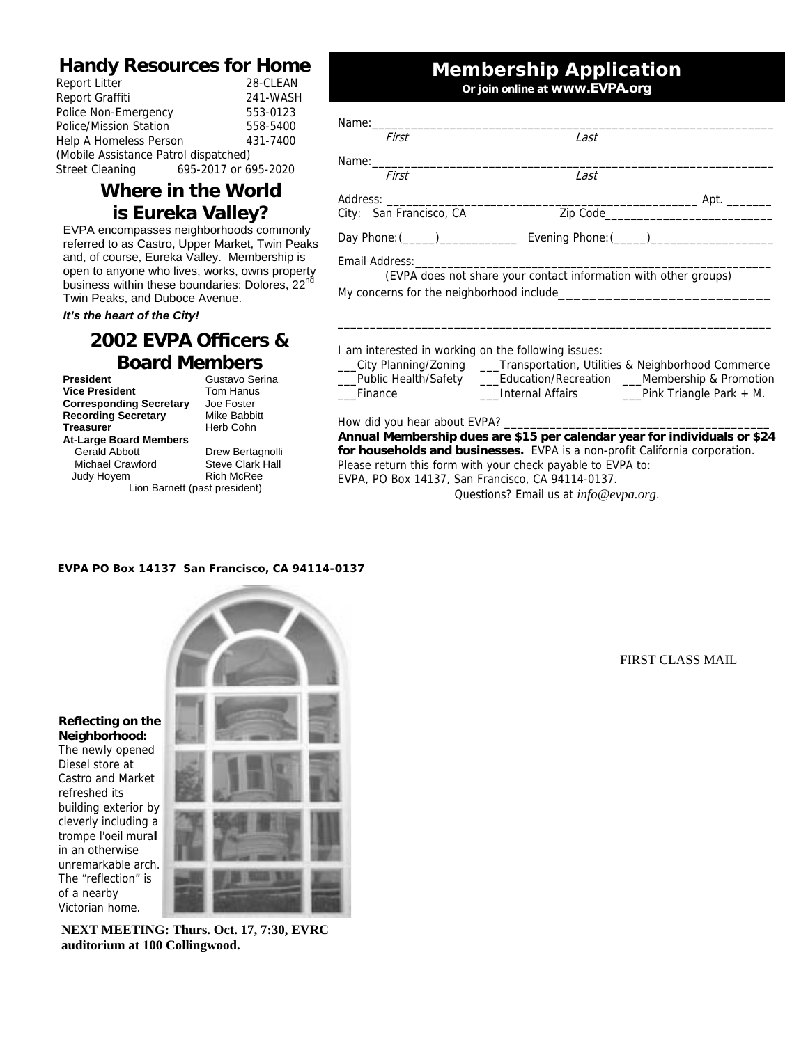#### **Handy Resources for Home**

| Report Litter                         | 28-CLEAN             |  |  |  |  |
|---------------------------------------|----------------------|--|--|--|--|
| Report Graffiti                       | 241-WASH             |  |  |  |  |
| Police Non-Emergency                  | 553-0123             |  |  |  |  |
| Police/Mission Station                | 558-5400             |  |  |  |  |
| Help A Homeless Person                | 431-7400             |  |  |  |  |
| (Mobile Assistance Patrol dispatched) |                      |  |  |  |  |
| Street Cleaning                       | 695-2017 or 695-2020 |  |  |  |  |

#### **Where in the World is Eureka Valley?**

EVPA encompasses neighborhoods commonly referred to as Castro, Upper Market, Twin Peaks and, of course, Eureka Valley. Membership is open to anyone who lives, works, owns property business within these boundaries: Dolores, 22nd Twin Peaks, and Duboce Avenue.

*It's the heart of the City!* 

### **2002 EVPA Officers & Board Members**

**President** Gustavo Serina<br> **Vice President** Tom Hanus **Vice President Corresponding Secretary** Joe Foster<br> **Recording Secretary** Mike Babbitt **Recording Secretary**<br>Treasurer

**At-Large Board Members**  Gerald Abbott **Drew Bertagnolli**<br>Michael Crawford **Brew Steve Clark Hall** 

**Herb Cohn** 

Judy Hoyem Lion Barnett (past president)

# Michael Crawford Steve Clark I<br>Judy Hoyem Rich McRee

## **Membership Application**

**Or join online at www.EVPA.org**

| First                   | Last                                                                             |      |
|-------------------------|----------------------------------------------------------------------------------|------|
|                         |                                                                                  |      |
| First                   | Last                                                                             |      |
|                         |                                                                                  | Apt. |
| City: San Francisco, CA | Zip Code                                                                         |      |
|                         | Day Phone: (_____)___________________ Evening Phone: (_____)____________________ |      |
|                         |                                                                                  |      |
|                         | (EVPA does not share your contact information with other groups)                 |      |
|                         |                                                                                  |      |

I am interested in working on the following issues:

\_\_\_City Planning/Zoning \_\_\_Transportation, Utilities & Neighborhood Commerce

Public Health/Safety **Education/Recreation Membership & Promotion** 

\_\_\_Finance \_\_\_Internal Affairs \_\_\_Pink Triangle Park + M.

How did you hear about EVPA?

**Annual Membership dues are \$15 per calendar year for individuals or \$24 for households and businesses.** EVPA is a non-profit California corporation. Please return this form with your check payable to EVPA to: EVPA, PO Box 14137, San Francisco, CA 94114-0137.

Questions? Email us at *info@evpa.org*.

#### **EVPA PO Box 14137 San Francisco, CA 94114-0137**



**Reflecting on the Neighborhood:**

The newly opened Diesel store at Castro and Market refreshed its building exterior by cleverly including a trompe l'oeil mura**l** in an otherwise unremarkable arch. The "reflection" is of a nearby Victorian home.



FIRST CLASS MAIL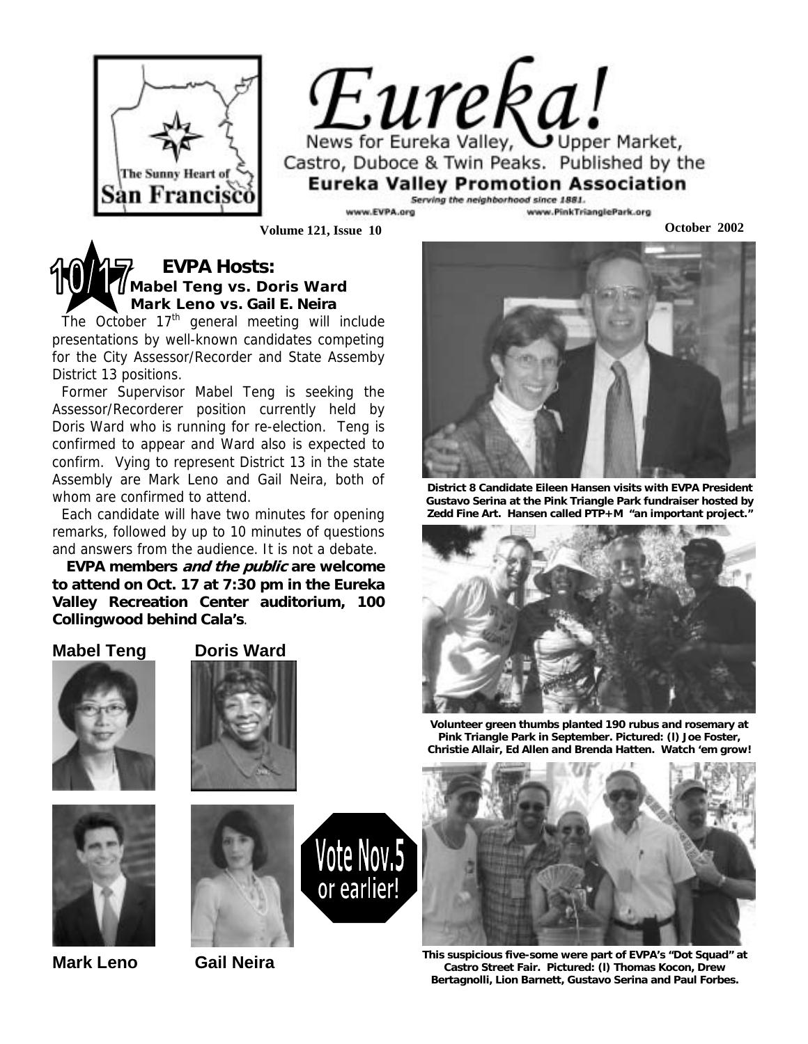

 $E$ *ureka* Valley,  $Q$ , Market, Castro, Duboce & Twin Peaks. Published by the **Eureka Valley Promotion Association** 

Serving the neighborhood since 1881. www.PinkTrianglePark.org EVPA.org

**Volume 121, Issue 10 October 2002**

## **EVPA Hosts: Mabel Teng vs. Doris Ward Mark Leno vs. Gail E. Neira**

The October  $17<sup>th</sup>$  general meeting will include presentations by well-known candidates competing for the City Assessor/Recorder and State Assemby District 13 positions.

Former Supervisor Mabel Teng is seeking the Assessor/Recorderer position currently held by Doris Ward who is running for re-election. Teng is confirmed to appear and Ward also is expected to confirm. Vying to represent District 13 in the state Assembly are Mark Leno and Gail Neira, both of whom are confirmed to attend.

Each candidate will have two minutes for opening remarks, followed by up to 10 minutes of questions and answers from the audience. It is not a debate.

**EVPA members and the public are welcome to attend on Oct. 17 at 7:30 pm in the Eureka Valley Recreation Center auditorium, 100 Collingwood behind Cala's**.

#### **Mabel Teng Doris Ward**









Vote Nov.5

or earlier!

**Mark Leno Gail Neira** 



**District 8 Candidate Eileen Hansen visits with EVPA President Gustavo Serina at the Pink Triangle Park fundraiser hosted by Zedd Fine Art. Hansen called PTP+M "an important project."**



**Volunteer green thumbs planted 190 rubus and rosemary at Pink Triangle Park in September. Pictured: (l) Joe Foster, Christie Allair, Ed Allen and Brenda Hatten. Watch 'em grow!**



**This suspicious five-some were part of EVPA's "Dot Squad" at Castro Street Fair. Pictured: (l) Thomas Kocon, Drew Bertagnolli, Lion Barnett, Gustavo Serina and Paul Forbes.**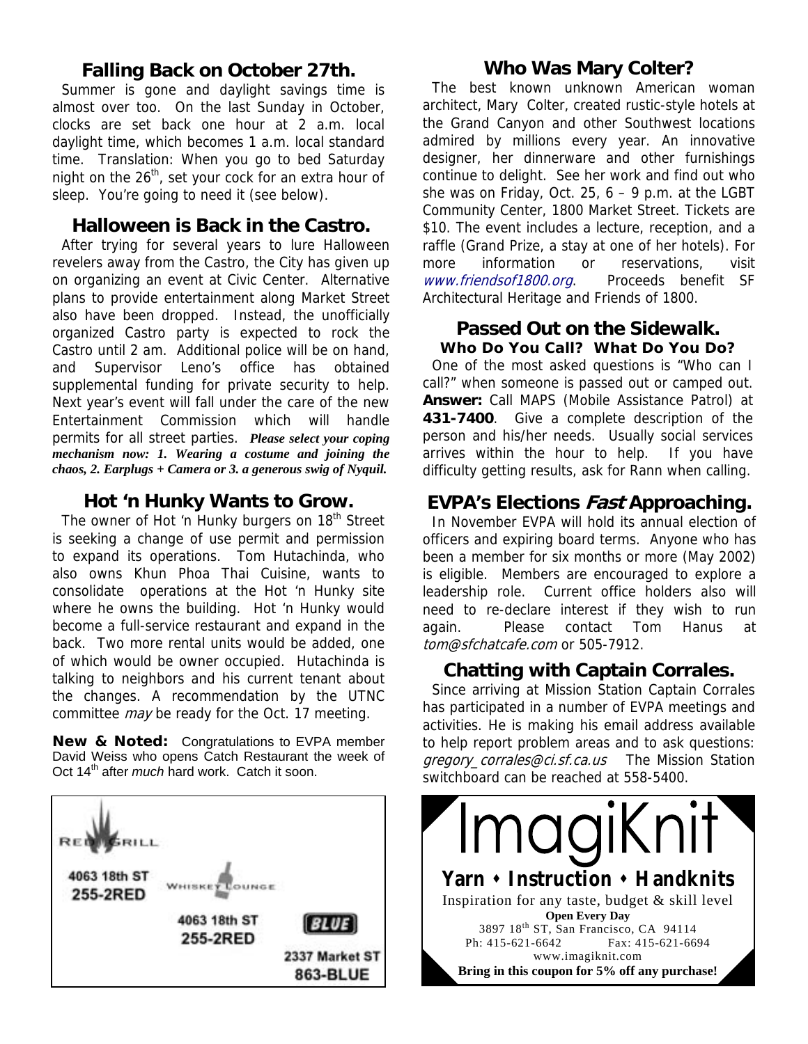#### **Falling Back on October 27th.**

Summer is gone and daylight savings time is almost over too. On the last Sunday in October, clocks are set back one hour at 2 a.m. local daylight time, which becomes 1 a.m. local standard time. Translation: When you go to bed Saturday night on the  $26<sup>th</sup>$ , set your cock for an extra hour of sleep. You're going to need it (see below).

#### **Halloween is Back in the Castro.**

After trying for several years to lure Halloween revelers away from the Castro, the City has given up on organizing an event at Civic Center. Alternative plans to provide entertainment along Market Street also have been dropped. Instead, the unofficially organized Castro party is expected to rock the Castro until 2 am. Additional police will be on hand, and Supervisor Leno's office has obtained supplemental funding for private security to help. Next year's event will fall under the care of the new Entertainment Commission which will handle permits for all street parties. *Please select your coping mechanism now: 1. Wearing a costume and joining the chaos, 2. Earplugs + Camera or 3. a generous swig of Nyquil.* 

#### **Hot 'n Hunky Wants to Grow.**

The owner of Hot 'n Hunky burgers on 18<sup>th</sup> Street is seeking a change of use permit and permission to expand its operations. Tom Hutachinda, who also owns Khun Phoa Thai Cuisine, wants to consolidate operations at the Hot 'n Hunky site where he owns the building. Hot 'n Hunky would become a full-service restaurant and expand in the back. Two more rental units would be added, one of which would be owner occupied. Hutachinda is talking to neighbors and his current tenant about the changes. A recommendation by the UTNC committee *may* be ready for the Oct. 17 meeting.

**New & Noted:** Congratulations to EVPA member David Weiss who opens Catch Restaurant the week of Oct 14th after *much* hard work.Catch it soon.



#### **Who Was Mary Colter?**

The best known unknown American woman architect, Mary Colter, created rustic-style hotels at the Grand Canyon and other Southwest locations admired by millions every year. An innovative designer, her dinnerware and other furnishings continue to delight. See her work and find out who she was on Friday, Oct. 25,  $6 - 9$  p.m. at the LGBT Community Center, 1800 Market Street. Tickets are \$10. The event includes a lecture, reception, and a raffle (Grand Prize, a stay at one of her hotels). For more information or reservations, visit www.friendsof1800.org. Proceeds benefit SF Architectural Heritage and Friends of 1800.

#### **Passed Out on the Sidewalk.**

**Who Do You Call? What Do You Do?**  One of the most asked questions is "Who can I call?" when someone is passed out or camped out. **Answer:** Call MAPS (Mobile Assistance Patrol) at **431-7400**. Give a complete description of the person and his/her needs. Usually social services arrives within the hour to help. If you have difficulty getting results, ask for Rann when calling.

#### **EVPA's Elections Fast Approaching.**

In November EVPA will hold its annual election of officers and expiring board terms. Anyone who has been a member for six months or more (May 2002) is eligible. Members are encouraged to explore a leadership role. Current office holders also will need to re-declare interest if they wish to run again. Please contact Tom Hanus at tom@sfchatcafe.com or 505-7912.

#### **Chatting with Captain Corrales.**

Since arriving at Mission Station Captain Corrales has participated in a number of EVPA meetings and activities. He is making his email address available to help report problem areas and to ask questions: gregory\_corrales@ci.sf.ca.us The Mission Station switchboard can be reached at 558-5400.